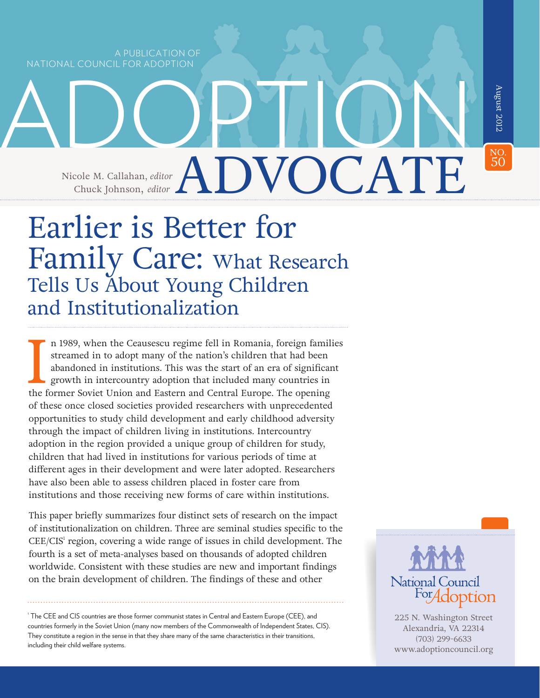A PUBLICATION OF NATIONAL COUNCIL FOR ADOPTION

> ADVOCATE Nicole M. Callahan, *editor* Chuck Johnson, *editor*

ADOPTION

# Earlier is Better for Family Care: What Research Tells Us About Young Children and Institutionalization

n 1989, when the Ceausescu regime fell in Romania, foreign familistreamed in to adopt many of the nation's children that had been abandoned in institutions. This was the start of an era of significar growth in intercountry n 1989, when the Ceausescu regime fell in Romania, foreign families streamed in to adopt many of the nation's children that had been abandoned in institutions. This was the start of an era of significant growth in intercountry adoption that included many countries in of these once closed societies provided researchers with unprecedented opportunities to study child development and early childhood adversity through the impact of children living in institutions. Intercountry adoption in the region provided a unique group of children for study, children that had lived in institutions for various periods of time at different ages in their development and were later adopted. Researchers have also been able to assess children placed in foster care from institutions and those receiving new forms of care within institutions.

This paper briefly summarizes four distinct sets of research on the impact of institutionalization on children. Three are seminal studies specific to the CEE/CIS<sup>1</sup> region, covering a wide range of issues in child development. The fourth is a set of meta-analyses based on thousands of adopted children worldwide. Consistent with these studies are new and important findings on the brain development of children. The findings of these and other

1 The CEE and CIS countries are those former communist states in Central and Eastern Europe (CEE), and countries formerly in the Soviet Union (many now members of the Commonwealth of Independent States, CIS). They constitute a region in the sense in that they share many of the same characteristics in their transitions, including their child welfare systems.



NO.<br>50

**50August 2012** 

August 2012

225 N. Washington Street Alexandria, VA 22314 (703) 299-6633 <www.adoptioncouncil.org>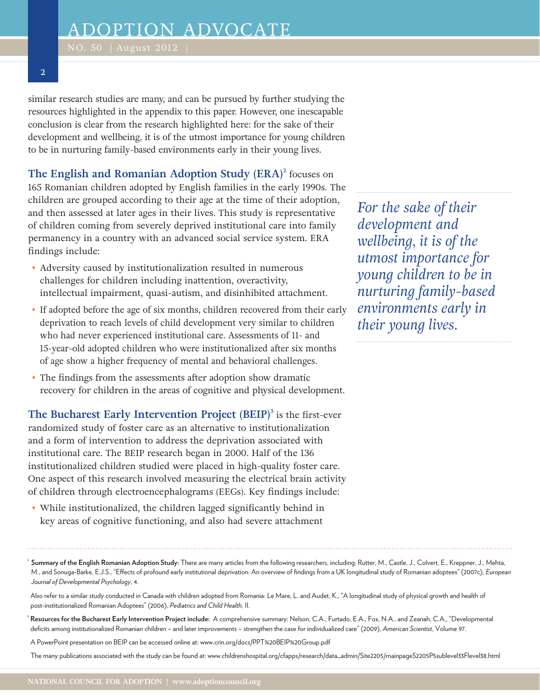### **2**

similar research studies are many, and can be pursued by further studying the resources highlighted in the appendix to this paper. However, one inescapable conclusion is clear from the research highlighted here: for the sake of their development and wellbeing, it is of the utmost importance for young children to be in nurturing family-based environments early in their young lives.

**The English and Romanian Adoption Study (ERA)**<sup>2</sup> focuses on 165 Romanian children adopted by English families in the early 1990s. The children are grouped according to their age at the time of their adoption, and then assessed at later ages in their lives. This study is representative of children coming from severely deprived institutional care into family permanency in a country with an advanced social service system. ERA findings include:

- Adversity caused by institutionalization resulted in numerous challenges for children including inattention, overactivity, intellectual impairment, quasi-autism, and disinhibited attachment.
- If adopted before the age of six months, children recovered from their early deprivation to reach levels of child development very similar to children who had never experienced institutional care. Assessments of 11- and 15-year-old adopted children who were institutionalized after six months of age show a higher frequency of mental and behavioral challenges.
- The findings from the assessments after adoption show dramatic recovery for children in the areas of cognitive and physical development.

**The Bucharest Early Intervention Project (BEIP)<sup>3</sup> is the first-ever** randomized study of foster care as an alternative to institutionalization and a form of intervention to address the deprivation associated with institutional care. The BEIP research began in 2000. Half of the 136 institutionalized children studied were placed in high-quality foster care. One aspect of this research involved measuring the electrical brain activity of children through electroencephalograms (EEGs). Key findings include:

• While institutionalized, the children lagged significantly behind in key areas of cognitive functioning, and also had severe attachment

*For the sake of their development and wellbeing, it is of the utmost importance for young children to be in nurturing family-based environments early in their young lives.*

Summary of the English Romanian Adoption Study: There are many articles from the following researchers, including: Rutter, M., Castle, J., Colvert, E., Kreppner, J., Mehta, M., and Sonuga-Barke, E.J.S., "Effects of profound early institutional deprivation: An overview of findings from a UK longitudinal study of Romanian adoptees" (2007c), *European Journal of Developmental Psychology*, 4.

3 **Resources for the Bucharest Early Intervention Project include:** A comprehensive summary: Nelson, C.A., Furtado, E.A., Fox, N.A., and Zeanah, C.A., "Developmental deficits among institutionalized Romanian children – and later improvements – strengthen the case for individualized care" (2009), *American Scientist*, Volume 97.

A PowerPoint presentation on BEIP can be accessed online at:<www.crin.org/docs/PPT>%20BEIP[%20Group.pdf](20Group.pdf)

The many publications associated with the study can be found at: [www.childrenshospital.org/cfapps/research/data\\_admin/Site2205/mainpageS2205P5sublevel33Flevel38.html](www.childrenshospital.org/cfapps/research/data_admin/Site2205/mainpageS2205P5sublevel33Flevel38.html)

Also refer to a similar study conducted in Canada with children adopted from Romania: Le Mare, L. and Audet, K., "A longitudinal study of physical growth and health of post-institutionalized Romanian Adoptees" (2006), *Pediatrics and Child Health*, II.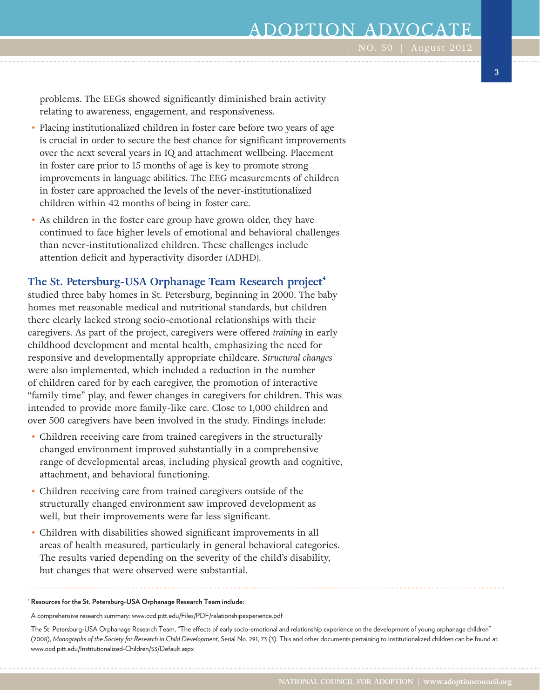# ADOPTION ADVOCAT

problems. The EEGs showed significantly diminished brain activity relating to awareness, engagement, and responsiveness.

- Placing institutionalized children in foster care before two years of age is crucial in order to secure the best chance for significant improvements over the next several years in IQ and attachment wellbeing. Placement in foster care prior to 15 months of age is key to promote strong improvements in language abilities. The EEG measurements of children in foster care approached the levels of the never-institutionalized children within 42 months of being in foster care.
- As children in the foster care group have grown older, they have continued to face higher levels of emotional and behavioral challenges than never-institutionalized children. These challenges include attention deficit and hyperactivity disorder (ADHD).

### The St. Petersburg-USA Orphanage Team Research project<sup>4</sup>

studied three baby homes in St. Petersburg, beginning in 2000. The baby homes met reasonable medical and nutritional standards, but children there clearly lacked strong socio-emotional relationships with their caregivers. As part of the project, caregivers were offered *training* in early childhood development and mental health, emphasizing the need for responsive and developmentally appropriate childcare. *Structural changes* were also implemented, which included a reduction in the number of children cared for by each caregiver, the promotion of interactive "family time" play, and fewer changes in caregivers for children. This was intended to provide more family-like care. Close to 1,000 children and over 500 caregivers have been involved in the study. Findings include:

- Children receiving care from trained caregivers in the structurally changed environment improved substantially in a comprehensive range of developmental areas, including physical growth and cognitive, attachment, and behavioral functioning.
- Children receiving care from trained caregivers outside of the structurally changed environment saw improved development as well, but their improvements were far less significant.
- Children with disabilities showed significant improvements in all areas of health measured, particularly in general behavioral categories. The results varied depending on the severity of the child's disability, but changes that were observed were substantial.

### 4 **Resources for the St. Petersburg-USA Orphanage Research Team include:**

A comprehensive research summary: <www.ocd.pitt.edu/Files/PDF/relationshipexperience.pdf>

 The St. Petersburg-USA Orphanage Research Team, "The effects of early socio-emotional and relationship experience on the development of young orphanage children" (2008), *Monographs of the Society for Research in Child Development*, Serial No. 291, 73 (3). This and other documents pertaining to institutionalized children can be found at: <www.ocd.pitt.edu/Institutionalized>-Children/53/<Default.aspx>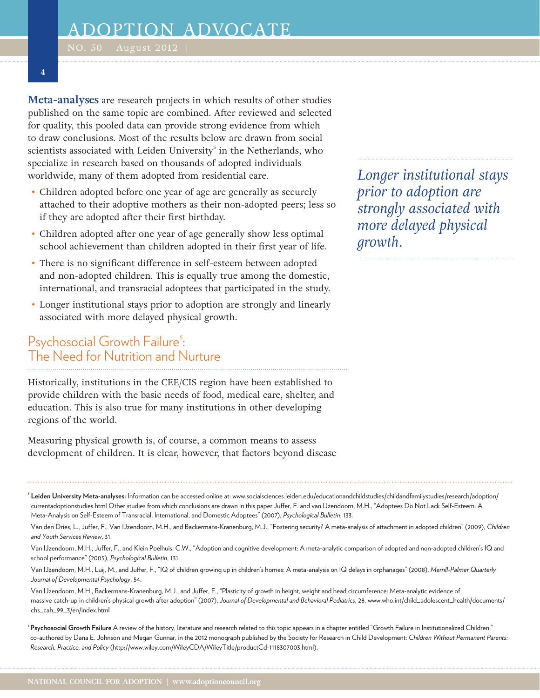**4**

**Meta-analyses** are research projects in which results of other studies published on the same topic are combined. After reviewed and selected for quality, this pooled data can provide strong evidence from which to draw conclusions. Most of the results below are drawn from social scientists associated with Leiden University<sup>5</sup> in the Netherlands, who specialize in research based on thousands of adopted individuals worldwide, many of them adopted from residential care.

- Children adopted before one year of age are generally as securely attached to their adoptive mothers as their non-adopted peers; less so if they are adopted after their first birthday.
- Children adopted after one year of age generally show less optimal school achievement than children adopted in their first year of life.
- There is no significant difference in self-esteem between adopted and non-adopted children. This is equally true among the domestic, international, and transracial adoptees that participated in the study.
- Longer institutional stays prior to adoption are strongly and linearly associated with more delayed physical growth.

# Psychosocial Growth Failure<sup>6</sup>: The Need for Nutrition and Nurture

Historically, institutions in the CEE/CIS region have been established to provide children with the basic needs of food, medical care, shelter, and education. This is also true for many institutions in other developing regions of the world.

Measuring physical growth is, of course, a common means to assess development of children. It is clear, however, that factors beyond disease

<sup>s</sup> **Leiden University Meta-analyses:** Information can be accessed online at: [www.socialsciences.leiden.edu/educationandchildstudies/childandfamilystudies/research/adoption/](www.socialsciences.leiden.edu/educationandchildstudies/childandfamilystudies/research/adoption) <currentadoptionstudies.html> Other studies from which conclusions are drawn in this paper:Juffer, F. and van IJzendoorn, M.H., "Adoptees Do Not Lack Self-Esteem: A Meta-Analysis on Self-Esteem of Transracial, International, and Domestic Adoptees" (2007), *Psychological Bulletin*, 133.

 Van den Dries, L., Juffer, F., Van IJzendoorn, M.H., and Backermans-Kranenburg, M.J., "Fostering security? A meta-analysis of attachment in adopted children" (2009), *Children and Youth Services Review*, 31.

 Van IJzendoorn, M.H., Juffer, F., and Klein Poelhuis, C.W., "Adoption and cognitive development: A meta-analytic comparison of adopted and non-adopted children's IQ and school performance" (2005), *Psychological Bulletin*, 131.

 Van IJzendoorn, M.H., Luij, M., and Juffer, F., "IQ of children growing up in children's homes: A meta-analysis on IQ delays in orphanages" (2008), *Merrill-Palmer Quarterly Journal of Developmental Psychology*, 54.

 Van IJzendoorn, M.H., Backermans-Kranenburg, M.J., and Juffer, F., "Plasticity of growth in height, weight and head circumference: Meta-analytic evidence of massive catch-up in children's physical growth after adoption" (2007), *Journal of Developmental and Behavioral Pediatrics*, 28. [www.who.int/child\\_adolescent\\_health/documents/](www.who.int/child_adolescent_health/documents/chs_cah_99_3/en/index.html) [chs\\_cah\\_99\\_3/en/index.html](www.who.int/child_adolescent_health/documents/chs_cah_99_3/en/index.html)

<sup>6</sup>**Psychosocial Growth Failure** A review of the history, literature and research related to this topic appears in a chapter entitled "Growth Failure in Institutionalized Children," co-authored by Dana E. Johnson and Megan Gunnar, in the 2012 monograph published by the Society for Research in Child Development: *Children Without Permanent Parents: Research, Practice, and Policy* (<http://www.wiley.com/WileyCDA/WileyTitle/productCd-1118307003.html>).

*Longer institutional stays prior to adoption are strongly associated with more delayed physical growth.*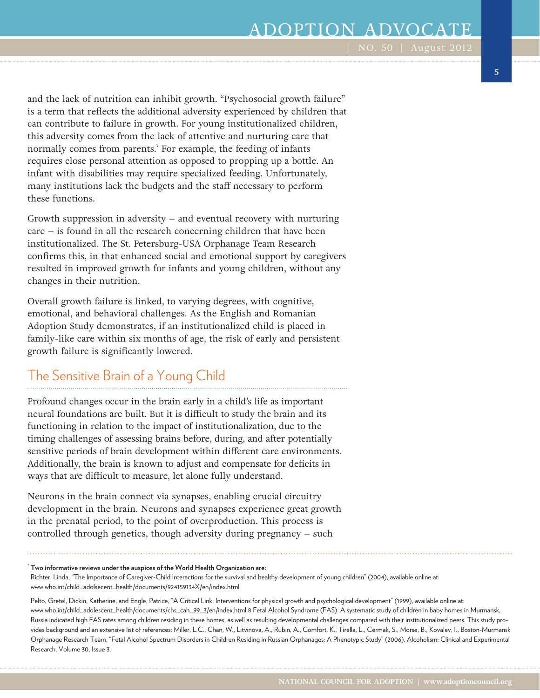# ADOPTION ADVOCAT

and the lack of nutrition can inhibit growth. "Psychosocial growth failure" is a term that reflects the additional adversity experienced by children that can contribute to failure in growth. For young institutionalized children, this adversity comes from the lack of attentive and nurturing care that normally comes from parents.<sup>7</sup> For example, the feeding of infants requires close personal attention as opposed to propping up a bottle. An infant with disabilities may require specialized feeding. Unfortunately, many institutions lack the budgets and the staff necessary to perform these functions.

Growth suppression in adversity – and eventual recovery with nurturing care – is found in all the research concerning children that have been institutionalized. The St. Petersburg-USA Orphanage Team Research confirms this, in that enhanced social and emotional support by caregivers resulted in improved growth for infants and young children, without any changes in their nutrition.

Overall growth failure is linked, to varying degrees, with cognitive, emotional, and behavioral challenges. As the English and Romanian Adoption Study demonstrates, if an institutionalized child is placed in family-like care within six months of age, the risk of early and persistent growth failure is significantly lowered.

### The Sensitive Brain of a Young Child

Profound changes occur in the brain early in a child's life as important neural foundations are built. But it is difficult to study the brain and its functioning in relation to the impact of institutionalization, due to the timing challenges of assessing brains before, during, and after potentially sensitive periods of brain development within different care environments. Additionally, the brain is known to adjust and compensate for deficits in ways that are difficult to measure, let alone fully understand.

Neurons in the brain connect via synapses, enabling crucial circuitry development in the brain. Neurons and synapses experience great growth in the prenatal period, to the point of overproduction. This process is controlled through genetics, though adversity during pregnancy – such

#### 7 **Two informative reviews under the auspices of the World Health Organization are:**

Richter, Linda, "The Importance of Caregiver-Child Interactions for the survival and healthy development of young children" (2004), available online at: [www.who.int/child\\_adolsecent\\_health/documents/924159134X/en/index.html](www.who.int/child_adolsecent_health/documents/924159134X/en/index.html)

 Pelto, Gretel, Dickin, Katherine, and Engle, Patrice, "A Critical Link: Interventions for physical growth and psychological development" (1999), available online at: [www.who.int/child\\_adolescent\\_health/documents/chs\\_cah\\_99\\_3/en/index.html](www.who.int/child_adolescent_health/documents/chs_cah_99_3/en/index.html) 8 Fetal Alcohol Syndrome (FAS) A systematic study of children in baby homes in Murmansk, Russia indicated high FAS rates among children residing in these homes, as well as resulting developmental challenges compared with their institutionalized peers. This study provides background and an extensive list of references: Miller, L.C., Chan, W., Litvinova, A., Rubin, A., Comfort, K., Tirella, L., Cermak, S., Morse, B., Kovalev, I., Boston-Murmansk Orphanage Research Team, "Fetal Alcohol Spectrum Disorders in Children Residing in Russian Orphanages: A Phenotypic Study" (2006), Alcoholism: Clinical and Experimental Research, Volume 30, Issue 3.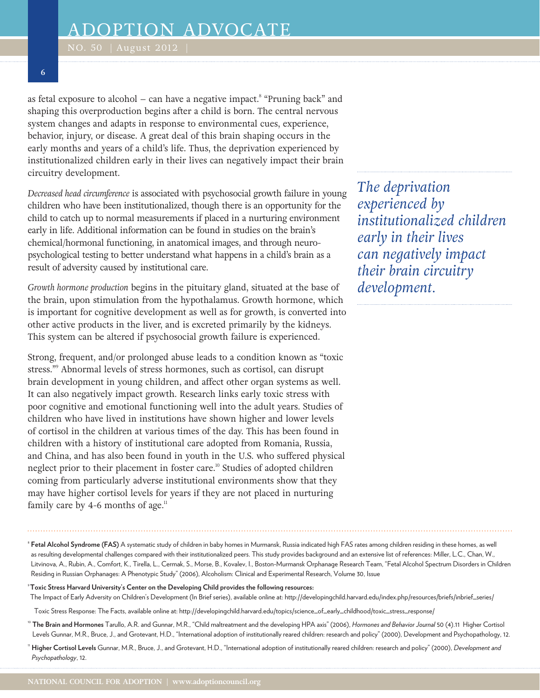as fetal exposure to alcohol – can have a negative impact.<sup>8</sup> "Pruning back" and shaping this overproduction begins after a child is born. The central nervous system changes and adapts in response to environmental cues, experience, behavior, injury, or disease. A great deal of this brain shaping occurs in the early months and years of a child's life. Thus, the deprivation experienced by institutionalized children early in their lives can negatively impact their brain circuitry development.

*Decreased head circumference* is associated with psychosocial growth failure in young children who have been institutionalized, though there is an opportunity for the child to catch up to normal measurements if placed in a nurturing environment early in life. Additional information can be found in studies on the brain's chemical/hormonal functioning, in anatomical images, and through neuropsychological testing to better understand what happens in a child's brain as a result of adversity caused by institutional care.

*Growth hormone production* begins in the pituitary gland, situated at the base of the brain, upon stimulation from the hypothalamus. Growth hormone, which is important for cognitive development as well as for growth, is converted into other active products in the liver, and is excreted primarily by the kidneys. This system can be altered if psychosocial growth failure is experienced.

Strong, frequent, and/or prolonged abuse leads to a condition known as "toxic stress."9 Abnormal levels of stress hormones, such as cortisol, can disrupt brain development in young children, and affect other organ systems as well. It can also negatively impact growth. Research links early toxic stress with poor cognitive and emotional functioning well into the adult years. Studies of children who have lived in institutions have shown higher and lower levels of cortisol in the children at various times of the day. This has been found in children with a history of institutional care adopted from Romania, Russia, and China, and has also been found in youth in the U.S. who suffered physical neglect prior to their placement in foster care.<sup>10</sup> Studies of adopted children coming from particularly adverse institutional environments show that they may have higher cortisol levels for years if they are not placed in nurturing family care by 4-6 months of age. $n_{\text{I}}$ 

*The deprivation experienced by institutionalized children early in their lives can negatively impact their brain circuitry development.*

- <sup>8</sup> **Fetal Alcohol Syndrome (FAS)** A systematic study of children in baby homes in Murmansk, Russia indicated high FAS rates among children residing in these homes, as well as resulting developmental challenges compared with their institutionalized peers. This study provides background and an extensive list of references: Miller, L.C., Chan, W., Litvinova, A., Rubin, A., Comfort, K., Tirella, L., Cermak, S., Morse, B., Kovalev, I., Boston-Murmansk Orphanage Research Team, "Fetal Alcohol Spectrum Disorders in Children Residing in Russian Orphanages: A Phenotypic Study" (2006), Alcoholism: Clinical and Experimental Research, Volume 30, Issue
- <sup>9</sup>**Toxic Stress Harvard University's Center on the Developing Child provides the following resources:**  The Impact of Early Adversity on Children's Development (In Brief series), available online at: [http://developingchild.harvard.edu/index.php/resources/briefs/inbrief\\_series/](http://developingchild.harvard.edu/index.php/resources/briefs/inbrief_series)
- Toxic Stress Response: The Facts, available online at: [http://developingchild.harvard.edu/topics/science\\_of\\_early\\_childhood/toxic\\_stress\\_response](http://developingchild.harvard.edu/topics/science_of_early_childhood/toxic_stress_response)/
- <sup>10</sup> **The Brain and Hormones** Tarullo, A.R. and Gunnar, M.R., "Child maltreatment and the developing HPA axis" (2006), *Hormones and Behavior Journal* 50 (4).11 Higher Cortisol Levels Gunnar, M.R., Bruce, J., and Grotevant, H.D., "International adoption of institutionally reared children: research and policy" (2000), Development and Psychopathology, 12.
- <sup>11</sup> **Higher Cortisol Levels** Gunnar, M.R., Bruce, J., and Grotevant, H.D., "International adoption of institutionally reared children: research and policy" (2000), *Development and Psychopathology*, 12.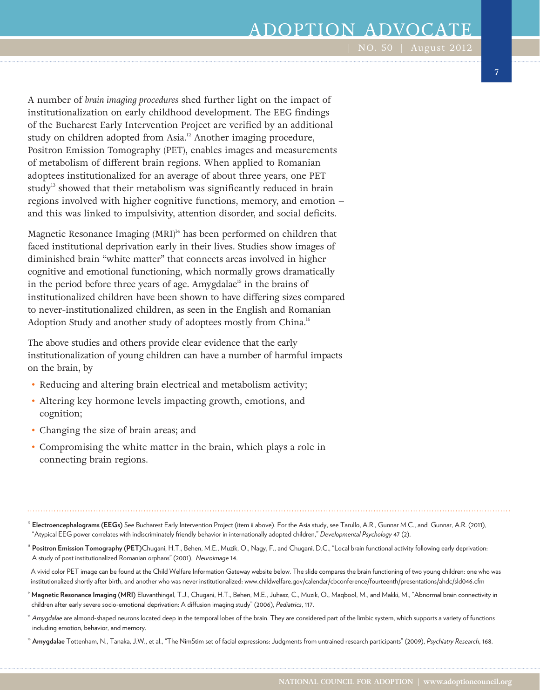# ADOPTION ADVOCAT

A number of *brain imaging procedures* shed further light on the impact of institutionalization on early childhood development. The EEG findings of the Bucharest Early Intervention Project are verified by an additional study on children adopted from Asia.<sup>12</sup> Another imaging procedure, Positron Emission Tomography (PET), enables images and measurements of metabolism of different brain regions. When applied to Romanian adoptees institutionalized for an average of about three years, one PET study<sup>13</sup> showed that their metabolism was significantly reduced in brain regions involved with higher cognitive functions, memory, and emotion – and this was linked to impulsivity, attention disorder, and social deficits.

Magnetic Resonance Imaging (MRI)<sup>14</sup> has been performed on children that faced institutional deprivation early in their lives. Studies show images of diminished brain "white matter" that connects areas involved in higher cognitive and emotional functioning, which normally grows dramatically in the period before three years of age. Amygdalae<sup>15</sup> in the brains of institutionalized children have been shown to have differing sizes compared to never-institutionalized children, as seen in the English and Romanian Adoption Study and another study of adoptees mostly from China.<sup>16</sup>

The above studies and others provide clear evidence that the early institutionalization of young children can have a number of harmful impacts on the brain, by

- Reducing and altering brain electrical and metabolism activity;
- Altering key hormone levels impacting growth, emotions, and cognition;
- Changing the size of brain areas; and
- Compromising the white matter in the brain, which plays a role in connecting brain regions.

<sup>12</sup> **Electroencephalograms (EEGs)** See Bucharest Early Intervention Project (item ii above). For the Asia study, see Tarullo, A.R., Gunnar M.C., and Gunnar, A.R. (2011), "Atypical EEG power correlates with indiscriminately friendly behavior in internationally adopted children," *Developmental Psychology* 47 (2).

<sup>13</sup> **Positron Emission Tomography (PET)**Chugani, H.T., Behen, M.E., Muzik, O., Nagy, F., and Chugani, D.C., "Local brain functional activity following early deprivation: A study of post institutionalized Romanian orphans" (2001), *Neuroimage* 14.

 A vivid color PET image can be found at the Child Welfare Information Gateway website below. The slide compares the brain functioning of two young children: one who was institutionalized shortly after birth, and another who was never institutionalized: <www.childwelfare.gov/calendar/cbconference/fourteenth/presentations/ahdc/sld046.cfm>

<sup>14</sup>**Magnetic Resonance Imaging (MRI)** Eluvanthingal, T.J., Chugani, H.T., Behen, M.E., Juhasz, C., Muzik, O., Maqbool, M., and Makki, M., "Abnormal brain connectivity in children after early severe socio-emotional deprivation: A diffusion imaging study" (2006), *Pediatrics*, 117.

<sup>15</sup> Amygdalae are almond-shaped neurons located deep in the temporal lobes of the brain. They are considered part of the limbic system, which supports a variety of functions including emotion, behavior, and memory.

<sup>16</sup> **Amygdalae** Tottenham, N., Tanaka, J.W., et al., "The NimStim set of facial expressions: Judgments from untrained research participants" (2009), *Psychiatry Research*, 168.